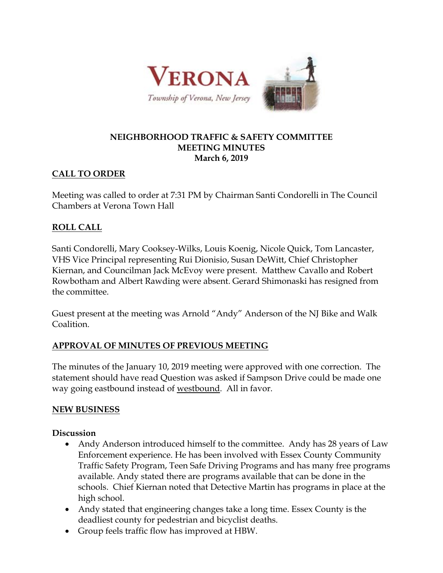

### **NEIGHBORHOOD TRAFFIC & SAFETY COMMITTEE MEETING MINUTES March 6, 2019**

# **CALL TO ORDER**

Meeting was called to order at 7:31 PM by Chairman Santi Condorelli in The Council Chambers at Verona Town Hall

# **ROLL CALL**

Santi Condorelli, Mary Cooksey-Wilks, Louis Koenig, Nicole Quick, Tom Lancaster, VHS Vice Principal representing Rui Dionisio, Susan DeWitt, Chief Christopher Kiernan, and Councilman Jack McEvoy were present. Matthew Cavallo and Robert Rowbotham and Albert Rawding were absent. Gerard Shimonaski has resigned from the committee.

Guest present at the meeting was Arnold "Andy" Anderson of the NJ Bike and Walk Coalition.

# **APPROVAL OF MINUTES OF PREVIOUS MEETING**

The minutes of the January 10, 2019 meeting were approved with one correction. The statement should have read Question was asked if Sampson Drive could be made one way going eastbound instead of westbound. All in favor.

## **NEW BUSINESS**

## **Discussion**

- Andy Anderson introduced himself to the committee. Andy has 28 years of Law Enforcement experience. He has been involved with Essex County Community Traffic Safety Program, Teen Safe Driving Programs and has many free programs available. Andy stated there are programs available that can be done in the schools. Chief Kiernan noted that Detective Martin has programs in place at the high school.
- Andy stated that engineering changes take a long time. Essex County is the deadliest county for pedestrian and bicyclist deaths.
- Group feels traffic flow has improved at HBW.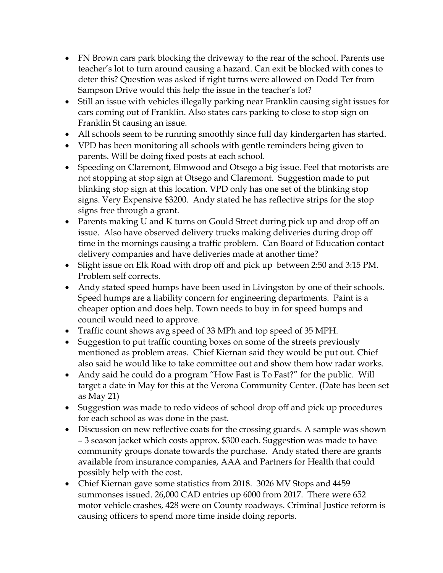- FN Brown cars park blocking the driveway to the rear of the school. Parents use teacher's lot to turn around causing a hazard. Can exit be blocked with cones to deter this? Question was asked if right turns were allowed on Dodd Ter from Sampson Drive would this help the issue in the teacher's lot?
- Still an issue with vehicles illegally parking near Franklin causing sight issues for cars coming out of Franklin. Also states cars parking to close to stop sign on Franklin St causing an issue.
- All schools seem to be running smoothly since full day kindergarten has started.
- VPD has been monitoring all schools with gentle reminders being given to parents. Will be doing fixed posts at each school.
- Speeding on Claremont, Elmwood and Otsego a big issue. Feel that motorists are not stopping at stop sign at Otsego and Claremont. Suggestion made to put blinking stop sign at this location. VPD only has one set of the blinking stop signs. Very Expensive \$3200. Andy stated he has reflective strips for the stop signs free through a grant.
- Parents making U and K turns on Gould Street during pick up and drop off an issue. Also have observed delivery trucks making deliveries during drop off time in the mornings causing a traffic problem. Can Board of Education contact delivery companies and have deliveries made at another time?
- Slight issue on Elk Road with drop off and pick up between 2:50 and 3:15 PM. Problem self corrects.
- Andy stated speed humps have been used in Livingston by one of their schools. Speed humps are a liability concern for engineering departments. Paint is a cheaper option and does help. Town needs to buy in for speed humps and council would need to approve.
- Traffic count shows avg speed of 33 MPh and top speed of 35 MPH.
- Suggestion to put traffic counting boxes on some of the streets previously mentioned as problem areas. Chief Kiernan said they would be put out. Chief also said he would like to take committee out and show them how radar works.
- Andy said he could do a program "How Fast is To Fast?" for the public. Will target a date in May for this at the Verona Community Center. (Date has been set as May 21)
- Suggestion was made to redo videos of school drop off and pick up procedures for each school as was done in the past.
- Discussion on new reflective coats for the crossing guards. A sample was shown – 3 season jacket which costs approx. \$300 each. Suggestion was made to have community groups donate towards the purchase. Andy stated there are grants available from insurance companies, AAA and Partners for Health that could possibly help with the cost.
- Chief Kiernan gave some statistics from 2018. 3026 MV Stops and 4459 summonses issued. 26,000 CAD entries up 6000 from 2017. There were 652 motor vehicle crashes, 428 were on County roadways. Criminal Justice reform is causing officers to spend more time inside doing reports.